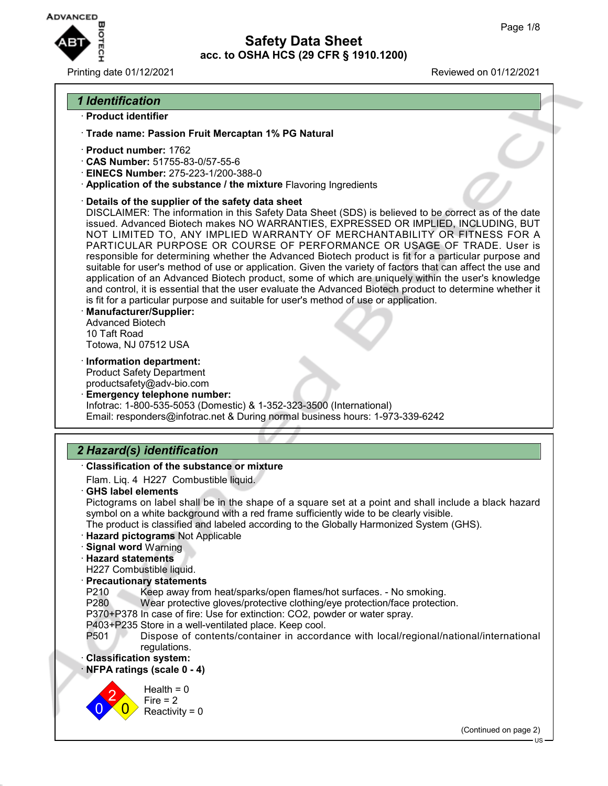

### Printing date 01/12/2021 Reviewed on 01/12/2021

## *1 Identification*

### · **Product identifier**

- · **Trade name: Passion Fruit Mercaptan 1% PG Natural**
- · **Product number:** 1762
- · **CAS Number:** 51755-83-0/57-55-6
- · **EINECS Number:** 275-223-1/200-388-0
- · **Application of the substance / the mixture** Flavoring Ingredients
- · **Details of the supplier of the safety data sheet**

DISCLAIMER: The information in this Safety Data Sheet (SDS) is believed to be correct as of the date issued. Advanced Biotech makes NO WARRANTIES, EXPRESSED OR IMPLIED, INCLUDING, BUT NOT LIMITED TO, ANY IMPLIED WARRANTY OF MERCHANTABILITY OR FITNESS FOR A PARTICULAR PURPOSE OR COURSE OF PERFORMANCE OR USAGE OF TRADE. User is responsible for determining whether the Advanced Biotech product is fit for a particular purpose and suitable for user's method of use or application. Given the variety of factors that can affect the use and application of an Advanced Biotech product, some of which are uniquely within the user's knowledge and control, it is essential that the user evaluate the Advanced Biotech product to determine whether it is fit for a particular purpose and suitable for user's method of use or application.

- · **Manufacturer/Supplier:** Advanced Biotech 10 Taft Road Totowa, NJ 07512 USA
- · **Information department:**

Product Safety Department productsafety@adv-bio.com

· **Emergency telephone number:** Infotrac: 1-800-535-5053 (Domestic) & 1-352-323-3500 (International) Email: responders@infotrac.net & During normal business hours: 1-973-339-6242

## *2 Hazard(s) identification*

### · **Classification of the substance or mixture**

Flam. Liq. 4 H227 Combustible liquid.

· **GHS label elements**

Pictograms on label shall be in the shape of a square set at a point and shall include a black hazard symbol on a white background with a red frame sufficiently wide to be clearly visible. The product is classified and labeled according to the Globally Harmonized System (GHS).

- · **Hazard pictograms** Not Applicable
- · **Signal word** Warning
- · **Hazard statements**
- H227 Combustible liquid.

#### · **Precautionary statements**

P210 Keep away from heat/sparks/open flames/hot surfaces. - No smoking.

P280 Wear protective gloves/protective clothing/eye protection/face protection.

- P370+P378 In case of fire: Use for extinction: CO2, powder or water spray.
- P403+P235 Store in a well-ventilated place. Keep cool.
- P501 Dispose of contents/container in accordance with local/regional/national/international regulations.

#### · **Classification system:**

· **NFPA ratings (scale 0 - 4)**

 $\overline{0}$ 2  $\overline{0}$  $Health = 0$  $Fire = 2$  $Reactivity = 0$ 

(Continued on page 2)

US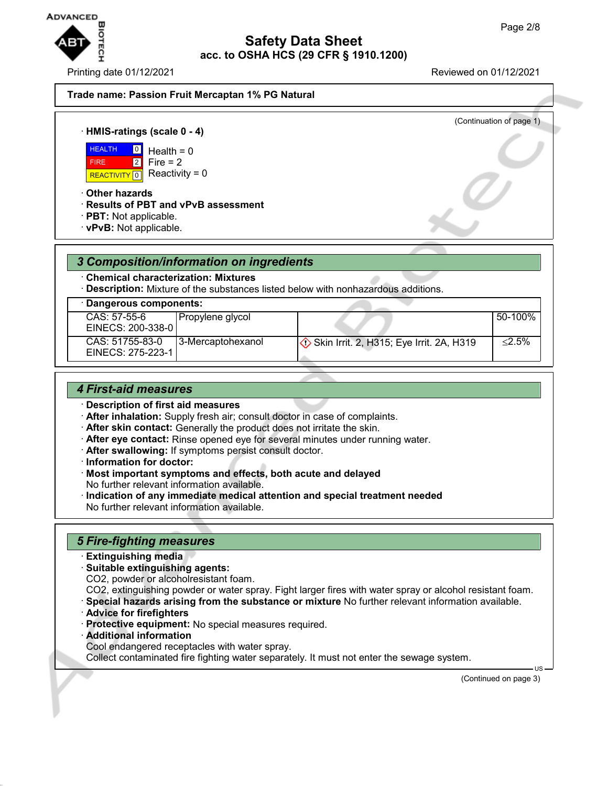

Printing date 01/12/2021 Reviewed on 01/12/2021

(Continuation of page 1)

### **Trade name: Passion Fruit Mercaptan 1% PG Natural**

### · **HMIS-ratings (scale 0 - 4)**

**HEALTH** <mark>| REACTIVITY</mark> | 0  $\overline{0}$ 2  $Health = 0$  $Fire = 2$ Reactivity =  $0$ 

· **Other hazards**

FIRE

· **Results of PBT and vPvB assessment**

· **PBT:** Not applicable.

· **vPvB:** Not applicable.

## *3 Composition/information on ingredients*

· **Chemical characterization: Mixtures**

· **Description:** Mixture of the substances listed below with nonhazardous additions.

| Dangerous components:                |                    |                                                     |          |
|--------------------------------------|--------------------|-----------------------------------------------------|----------|
| CAS: 57-55-6<br>EINECS: 200-338-0    | Propylene glycol_  |                                                     | 50-100%  |
| CAS: 51755-83-0<br>EINECS: 275-223-1 | I3-Mercaptohexanol | $\Diamond$ Skin Irrit. 2, H315; Eye Irrit. 2A, H319 | $<$ 2.5% |

### *4 First-aid measures*

- · **Description of first aid measures**
- · **After inhalation:** Supply fresh air; consult doctor in case of complaints.
- · **After skin contact:** Generally the product does not irritate the skin.
- · **After eye contact:** Rinse opened eye for several minutes under running water.
- · **After swallowing:** If symptoms persist consult doctor.
- · **Information for doctor:**
- · **Most important symptoms and effects, both acute and delayed** No further relevant information available.
- · **Indication of any immediate medical attention and special treatment needed** No further relevant information available.

## *5 Fire-fighting measures*

- · **Extinguishing media**
- · **Suitable extinguishing agents:**
- CO2, powder or alcoholresistant foam.
- CO2, extinguishing powder or water spray. Fight larger fires with water spray or alcohol resistant foam.
- · **Special hazards arising from the substance or mixture** No further relevant information available.
- · **Advice for firefighters**
- · **Protective equipment:** No special measures required.
- · **Additional information**
- Cool endangered receptacles with water spray.

Collect contaminated fire fighting water separately. It must not enter the sewage system.

(Continued on page 3)

US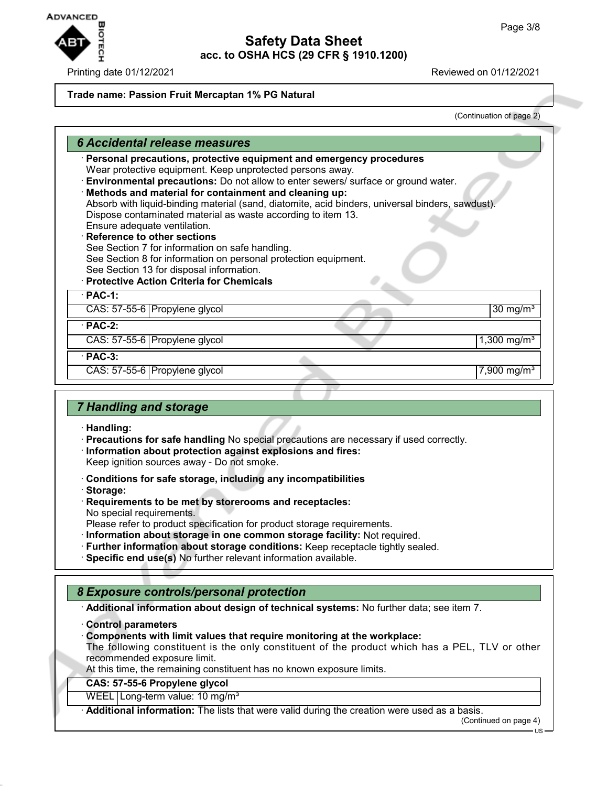**ADVANCED** 

#### Printing date 01/12/2021 Reviewed on 01/12/2021

# **Safety Data Sheet acc. to OSHA HCS (29 CFR § 1910.1200)**

### **Trade name: Passion Fruit Mercaptan 1% PG Natural**

(Continuation of page 2)

| 6 Accidental release measures                                                                                                                                                                                                                                                                                                                                                                                                                                                                                                                                                                                                                                                                                                         |                         |  |  |
|---------------------------------------------------------------------------------------------------------------------------------------------------------------------------------------------------------------------------------------------------------------------------------------------------------------------------------------------------------------------------------------------------------------------------------------------------------------------------------------------------------------------------------------------------------------------------------------------------------------------------------------------------------------------------------------------------------------------------------------|-------------------------|--|--|
| · Personal precautions, protective equipment and emergency procedures<br>Wear protective equipment. Keep unprotected persons away.<br>Environmental precautions: Do not allow to enter sewers/ surface or ground water.<br>Methods and material for containment and cleaning up:<br>Absorb with liquid-binding material (sand, diatomite, acid binders, universal binders, sawdust).<br>Dispose contaminated material as waste according to item 13.<br>Ensure adequate ventilation.<br>· Reference to other sections<br>See Section 7 for information on safe handling.<br>See Section 8 for information on personal protection equipment.<br>See Section 13 for disposal information.<br>· Protective Action Criteria for Chemicals |                         |  |  |
| $\cdot$ PAC-1:<br>CAS: 57-55-6   Propylene glycol                                                                                                                                                                                                                                                                                                                                                                                                                                                                                                                                                                                                                                                                                     | 30 mg/ $m3$             |  |  |
|                                                                                                                                                                                                                                                                                                                                                                                                                                                                                                                                                                                                                                                                                                                                       |                         |  |  |
| <b>PAC-2:</b>                                                                                                                                                                                                                                                                                                                                                                                                                                                                                                                                                                                                                                                                                                                         |                         |  |  |
| CAS: 57-55-6 Propylene glycol                                                                                                                                                                                                                                                                                                                                                                                                                                                                                                                                                                                                                                                                                                         | $1,300 \text{ mg/m}^3$  |  |  |
| <b>PAC-3:</b>                                                                                                                                                                                                                                                                                                                                                                                                                                                                                                                                                                                                                                                                                                                         |                         |  |  |
| CAS: 57-55-6   Propylene glycol                                                                                                                                                                                                                                                                                                                                                                                                                                                                                                                                                                                                                                                                                                       | 7,900 mg/m <sup>3</sup> |  |  |
|                                                                                                                                                                                                                                                                                                                                                                                                                                                                                                                                                                                                                                                                                                                                       |                         |  |  |
| <b>7 Handling and storage</b>                                                                                                                                                                                                                                                                                                                                                                                                                                                                                                                                                                                                                                                                                                         |                         |  |  |

- · **Handling:**
- · **Precautions for safe handling** No special precautions are necessary if used correctly.
- · **Information about protection against explosions and fires:**

Keep ignition sources away - Do not smoke.

- · **Conditions for safe storage, including any incompatibilities**
- · **Storage:**
- · **Requirements to be met by storerooms and receptacles:** No special requirements.
- Please refer to product specification for product storage requirements.
- · **Information about storage in one common storage facility:** Not required.
- · **Further information about storage conditions:** Keep receptacle tightly sealed.
- · **Specific end use(s)** No further relevant information available.

## *8 Exposure controls/personal protection*

- · **Additional information about design of technical systems:** No further data; see item 7.
- · **Control parameters**
- · **Components with limit values that require monitoring at the workplace:**

The following constituent is the only constituent of the product which has a PEL, TLV or other recommended exposure limit.

At this time, the remaining constituent has no known exposure limits.

# **CAS: 57-55-6 Propylene glycol**

WEEL Long-term value: 10 mg/m<sup>3</sup>

· **Additional information:** The lists that were valid during the creation were used as a basis.

(Continued on page 4)

US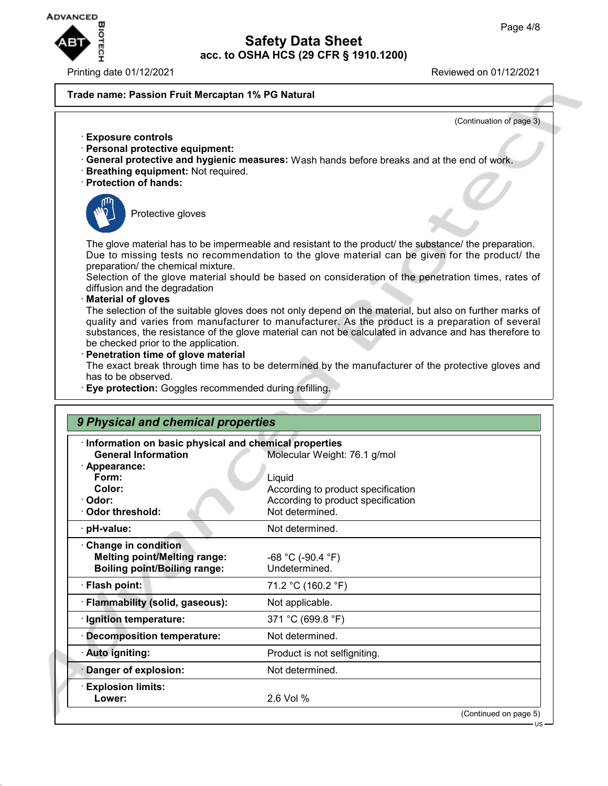

Printing date 01/12/2021 Reviewed on 01/12/2021

(Continuation of page 3)

### **Trade name: Passion Fruit Mercaptan 1% PG Natural**

- · **Exposure controls**
- · **Personal protective equipment:**
- · **General protective and hygienic measures:** Wash hands before breaks and at the end of work.
- · **Breathing equipment:** Not required.
- · **Protection of hands:**



Protective gloves

The glove material has to be impermeable and resistant to the product/ the substance/ the preparation. Due to missing tests no recommendation to the glove material can be given for the product/ the preparation/ the chemical mixture.

Selection of the glove material should be based on consideration of the penetration times, rates of diffusion and the degradation

· **Material of gloves**

The selection of the suitable gloves does not only depend on the material, but also on further marks of quality and varies from manufacturer to manufacturer. As the product is a preparation of several substances, the resistance of the glove material can not be calculated in advance and has therefore to be checked prior to the application.

· **Penetration time of glove material**

The exact break through time has to be determined by the manufacturer of the protective gloves and has to be observed.

· **Eye protection:** Goggles recommended during refilling.

| · Information on basic physical and chemical properties |                                    |
|---------------------------------------------------------|------------------------------------|
| <b>General Information</b>                              | Molecular Weight: 76.1 g/mol       |
| · Appearance:                                           |                                    |
| Form:                                                   | Liquid                             |
| Color:                                                  | According to product specification |
| · Odor:                                                 | According to product specification |
| <b>Odor threshold:</b>                                  | Not determined.                    |
| · pH-value:                                             | Not determined.                    |
| Change in condition                                     |                                    |
| <b>Melting point/Melting range:</b>                     | $-68 °C (-90.4 °F)$                |
| <b>Boiling point/Boiling range:</b>                     | Undetermined.                      |
| · Flash point:                                          | 71.2 °C (160.2 °F)                 |
| · Flammability (solid, gaseous):                        | Not applicable.                    |
| · Ignition temperature:                                 | 371 °C (699.8 °F)                  |
| <b>Decomposition temperature:</b>                       | Not determined.                    |
| · Auto igniting:                                        | Product is not selfigniting.       |
| Danger of explosion:                                    | Not determined.                    |
| <b>Explosion limits:</b>                                |                                    |
| Lower:                                                  | 2.6 Vol %                          |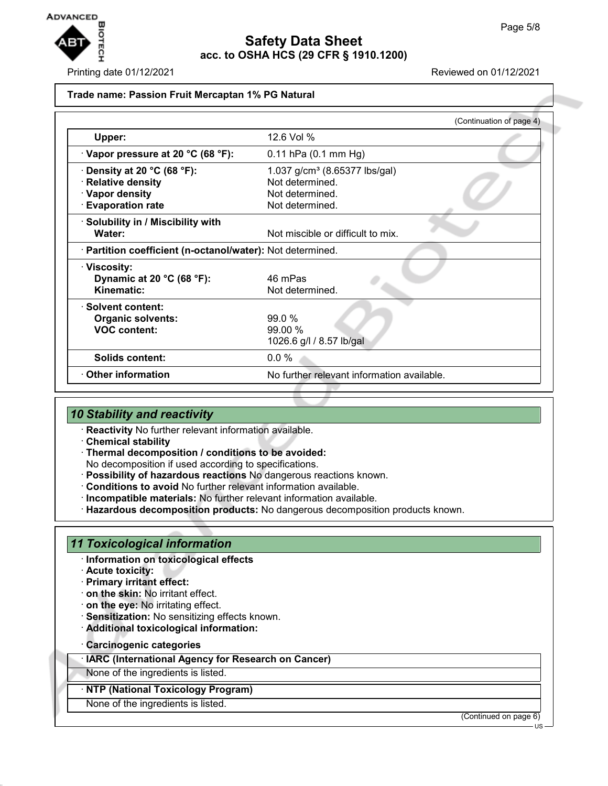

### Printing date 01/12/2021 Reviewed on 01/12/2021

### **Trade name: Passion Fruit Mercaptan 1% PG Natural**

|                                                            | (Continuation of page 4)                   |
|------------------------------------------------------------|--------------------------------------------|
| Upper:                                                     | 12.6 Vol %                                 |
| $\cdot$ Vapor pressure at 20 °C (68 °F):                   | $0.11$ hPa $(0.1$ mm Hg)                   |
| $\cdot$ Density at 20 °C (68 °F):                          | 1.037 g/cm <sup>3</sup> (8.65377 lbs/gal)  |
| · Relative density                                         | Not determined.                            |
| · Vapor density                                            | Not determined.                            |
| <b>Evaporation rate</b>                                    | Not determined.                            |
| · Solubility in / Miscibility with                         |                                            |
| Water:                                                     | Not miscible or difficult to mix.          |
| · Partition coefficient (n-octanol/water): Not determined. |                                            |
| · Viscosity:                                               |                                            |
| Dynamic at 20 °C (68 °F):                                  | 46 mPas                                    |
| Kinematic:                                                 | Not determined.                            |
| · Solvent content:                                         |                                            |
| <b>Organic solvents:</b>                                   | 99.0%                                      |
| <b>VOC content:</b>                                        | 99.00%                                     |
|                                                            | 1026.6 g/l / 8.57 lb/gal                   |
| Solids content:                                            | 0.0%                                       |
| Other information                                          | No further relevant information available. |

## *10 Stability and reactivity*

· **Reactivity** No further relevant information available.

- · **Chemical stability**
- · **Thermal decomposition / conditions to be avoided:** No decomposition if used according to specifications.
- · **Possibility of hazardous reactions** No dangerous reactions known.
- · **Conditions to avoid** No further relevant information available.
- · **Incompatible materials:** No further relevant information available.
- · **Hazardous decomposition products:** No dangerous decomposition products known.

## *11 Toxicological information*

- · **Information on toxicological effects**
- · **Acute toxicity:**
- · **Primary irritant effect:**
- · **on the skin:** No irritant effect.
- · **on the eye:** No irritating effect.
- · **Sensitization:** No sensitizing effects known.
- · **Additional toxicological information:**
- · **Carcinogenic categories**

#### · **IARC (International Agency for Research on Cancer)**

None of the ingredients is listed.

### · **NTP (National Toxicology Program)**

None of the ingredients is listed.

(Continued on page 6)

US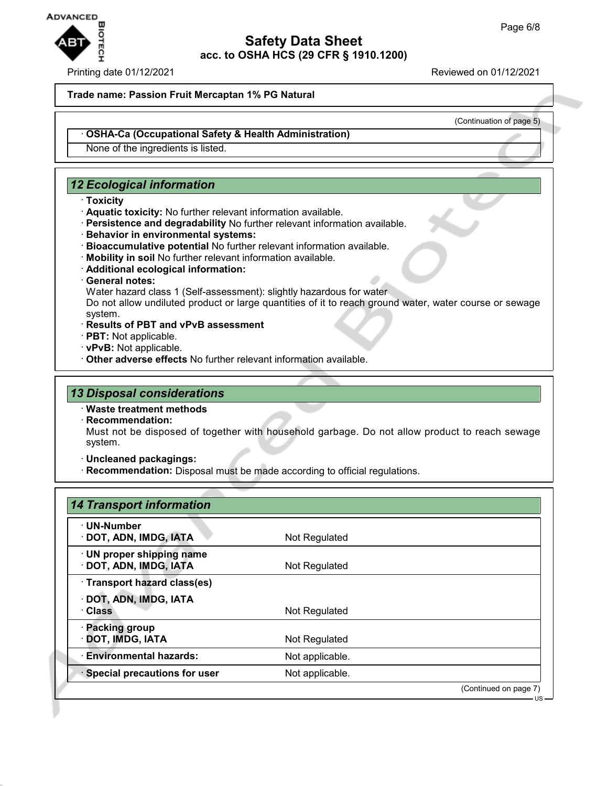

#### Printing date 01/12/2021 Reviewed on 01/12/2021

#### **Trade name: Passion Fruit Mercaptan 1% PG Natural**

(Continuation of page 5)

#### · **OSHA-Ca (Occupational Safety & Health Administration)**

None of the ingredients is listed.

## *12 Ecological information*

- · **Toxicity**
- · **Aquatic toxicity:** No further relevant information available.
- · **Persistence and degradability** No further relevant information available.
- · **Behavior in environmental systems:**
- · **Bioaccumulative potential** No further relevant information available.
- · **Mobility in soil** No further relevant information available.
- · **Additional ecological information:**

#### · **General notes:**

Water hazard class 1 (Self-assessment): slightly hazardous for water

Do not allow undiluted product or large quantities of it to reach ground water, water course or sewage system.

- · **Results of PBT and vPvB assessment**
- · **PBT:** Not applicable.
- · **vPvB:** Not applicable.
- · **Other adverse effects** No further relevant information available.

## *13 Disposal considerations*

- · **Waste treatment methods**
- · **Recommendation:** Must not be disposed of together with household garbage. Do not allow product to reach sewage system.
- · **Uncleaned packagings:**
- · **Recommendation:** Disposal must be made according to official regulations.

| · UN-Number<br>· DOT, ADN, IMDG, IATA               | Not Regulated   |                       |
|-----------------------------------------------------|-----------------|-----------------------|
| · UN proper shipping name<br>· DOT, ADN, IMDG, IATA | Not Regulated   |                       |
| · Transport hazard class(es)                        |                 |                       |
| · DOT, ADN, IMDG, IATA                              |                 |                       |
| · Class                                             | Not Regulated   |                       |
| · Packing group                                     |                 |                       |
| DOT, IMDG, IATA                                     | Not Regulated   |                       |
| <b>Environmental hazards:</b>                       | Not applicable. |                       |
| · Special precautions for user                      | Not applicable. |                       |
|                                                     |                 | (Continued on page 7) |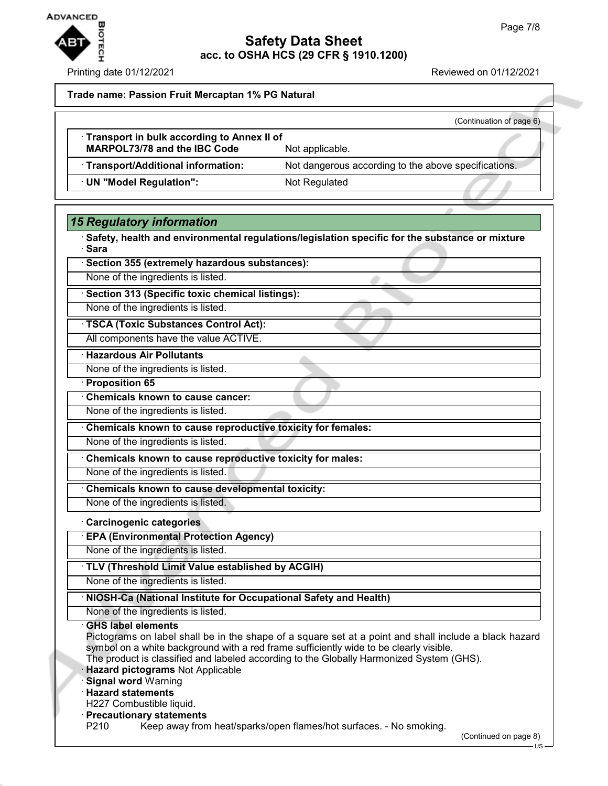

Printing date 01/12/2021 Reviewed on 01/12/2021

**Trade name: Passion Fruit Mercaptan 1% PG Natural**

|                                                                              | (Continuation of page 6)                             |
|------------------------------------------------------------------------------|------------------------------------------------------|
| • Transport in bulk according to Annex II of<br>MARPOL73/78 and the IBC Code | Not applicable.                                      |
| · Transport/Additional information:                                          | Not dangerous according to the above specifications. |
| · UN "Model Regulation":                                                     | Not Regulated                                        |
|                                                                              |                                                      |

## *15 Regulatory information*

· **Safety, health and environmental regulations/legislation specific for the substance or mixture** · **Sara**

· **Section 355 (extremely hazardous substances):**

None of the ingredients is listed.

· **Section 313 (Specific toxic chemical listings):**

None of the ingredients is listed.

· **TSCA (Toxic Substances Control Act):** All components have the value ACTIVE.

· **Hazardous Air Pollutants**

None of the ingredients is listed.

· **Proposition 65**

· **Chemicals known to cause cancer:**

None of the ingredients is listed.

· **Chemicals known to cause reproductive toxicity for females:**

None of the ingredients is listed.

· **Chemicals known to cause reproductive toxicity for males:**

None of the ingredients is listed.

· **Chemicals known to cause developmental toxicity:**

None of the ingredients is listed.

## · **Carcinogenic categories**

· **EPA (Environmental Protection Agency)**

None of the ingredients is listed.

· **TLV (Threshold Limit Value established by ACGIH)**

None of the ingredients is listed.

## · **NIOSH-Ca (National Institute for Occupational Safety and Health)**

None of the ingredients is listed.

### · **GHS label elements**

Pictograms on label shall be in the shape of a square set at a point and shall include a black hazard symbol on a white background with a red frame sufficiently wide to be clearly visible.

The product is classified and labeled according to the Globally Harmonized System (GHS).

**Hazard pictograms** Not Applicable

· **Signal word** Warning

· **Hazard statements**

H227 Combustible liquid. · **Precautionary statements**

P210 Keep away from heat/sparks/open flames/hot surfaces. - No smoking.

(Continued on page 8)

US